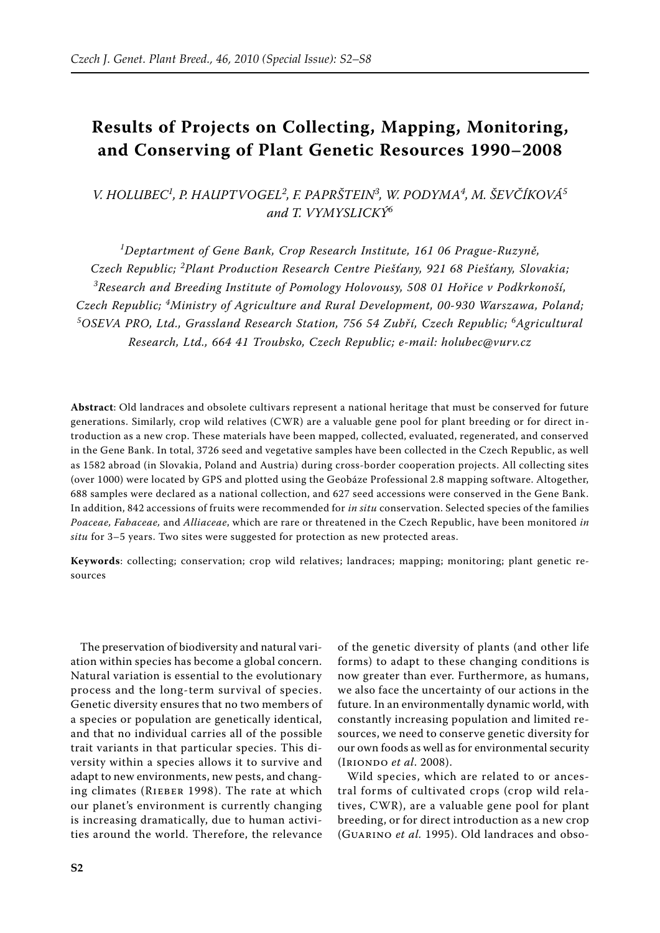# **Results of Projects on Collecting, Mapping, Monitoring, and Conserving of Plant Genetic Resources 1990–2008**

*V. Holubec<sup>1</sup> , P. Hauptvogel<sup>2</sup> , F. Paprštein<sup>3</sup> , W. Podyma<sup>4</sup> , M. Ševčíková<sup>5</sup> and T. Vymyslický<sup>6</sup>*

*1 Deptartment of Gene Bank, Crop Research Institute, 161 06 Prague-Ruzyně, Czech Republic; <sup>2</sup> Plant Production Research Centre Piešťany, 921 68 Piešťany, Slovakia; 3 Research and Breeding Institute of Pomology Holovousy, 508 01 Hořice v Podkrkonoší, Czech Republic; <sup>4</sup> Ministry of Agriculture and Rural Development, 00-930 Warszawa, Poland;*  <sup>5</sup>OSEVA PRO, Ltd., Grassland Research Station, 756 54 Zubří, Czech Republic; <sup>6</sup>Agricultural *Research, Ltd., 664 41 Troubsko, Czech Republic; e-mail: holubec@vurv.cz*

**Abstract**: Old landraces and obsolete cultivars represent a national heritage that must be conserved for future generations. Similarly, crop wild relatives (CWR) are a valuable gene pool for plant breeding or for direct introduction as a new crop. These materials have been mapped, collected, evaluated, regenerated, and conserved in the Gene Bank. In total, 3726 seed and vegetative samples have been collected in the Czech Republic, as well as 1582 abroad (in Slovakia, Poland and Austria) during cross-border cooperation projects. All collecting sites (over 1000) were located by GPS and plotted using the Geobáze Professional 2.8 mapping software. Altogether, 688 samples were declared as a national collection, and 627 seed accessions were conserved in the Gene Bank. In addition, 842 accessions of fruits were recommended for *in situ* conservation. Selected species of the families *Poaceae, Fabaceae,* and *Alliaceae*, which are rare or threatened in the Czech Republic, have been monitored *in situ* for 3–5 years. Two sites were suggested for protection as new protected areas.

**Keywords**: collecting; conservation; crop wild relatives; landraces; mapping; monitoring; plant genetic resources

The preservation of biodiversity and natural variation within species has become a global concern. Natural variation is essential to the evolutionary process and the long-term survival of species. Genetic diversity ensures that no two members of a species or population are genetically identical, and that no individual carries all of the possible trait variants in that particular species. This diversity within a species allows it to survive and adapt to new environments, new pests, and changing climates (Rieber 1998). The rate at which our planet's environment is currently changing is increasing dramatically, due to human activities around the world. Therefore, the relevance of the genetic diversity of plants (and other life forms) to adapt to these changing conditions is now greater than ever. Furthermore, as humans, we also face the uncertainty of our actions in the future. In an environmentally dynamic world, with constantly increasing population and limited resources, we need to conserve genetic diversity for our own foods as well as for environmental security (Iriondo *et al*. 2008).

Wild species, which are related to or ancestral forms of cultivated crops (crop wild relatives, CWR), are a valuable gene pool for plant breeding, or for direct introduction as a new crop (Guarino *et al.* 1995). Old landraces and obso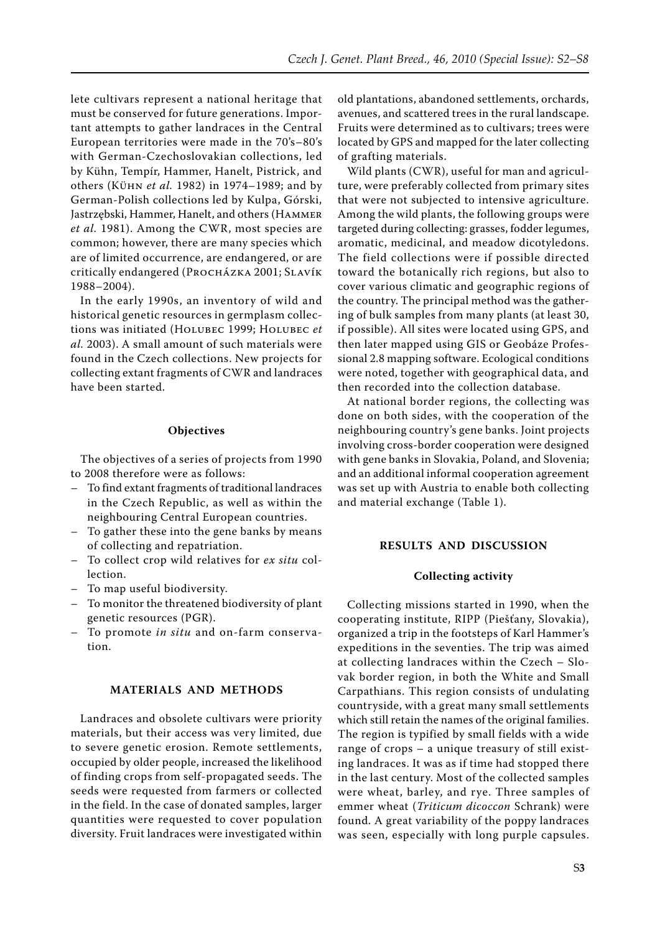lete cultivars represent a national heritage that must be conserved for future generations. Important attempts to gather landraces in the Central European territories were made in the 70's–80's with German-Czechoslovakian collections, led by Kühn, Tempír, Hammer, Hanelt, Pistrick, and others (Kühn *et al.* 1982) in 1974–1989; and by German-Polish collections led by Kulpa, Górski, Jastrzębski, Hammer, Hanelt, and others (Hammer *et al.* 1981). Among the CWR, most species are common; however, there are many species which are of limited occurrence, are endangered, or are critically endangered (PROCHÁZKA 2001; SLAVÍK 1988–2004).

In the early 1990s, an inventory of wild and historical genetic resources in germplasm collections was initiated (Holubec 1999; Holubec *et al.* 2003). A small amount of such materials were found in the Czech collections. New projects for collecting extant fragments of CWR and landraces have been started.

## **Objectives**

The objectives of a series of projects from 1990 to 2008 therefore were as follows:

- To find extant fragments of traditional landraces in the Czech Republic, as well as within the neighbouring Central European countries.
- To gather these into the gene banks by means of collecting and repatriation.
- To collect crop wild relatives for *ex situ* collection.
- To map useful biodiversity.
- To monitor the threatened biodiversity of plant genetic resources (PGR).
- To promote *in situ* and on-farm conservation.

## **Materials and methods**

Landraces and obsolete cultivars were priority materials, but their access was very limited, due to severe genetic erosion. Remote settlements, occupied by older people, increased the likelihood of finding crops from self-propagated seeds. The seeds were requested from farmers or collected in the field. In the case of donated samples, larger quantities were requested to cover population diversity. Fruit landraces were investigated within

old plantations, abandoned settlements, orchards, avenues, and scattered trees in the rural landscape. Fruits were determined as to cultivars; trees were located by GPS and mapped for the later collecting of grafting materials.

Wild plants (CWR), useful for man and agriculture, were preferably collected from primary sites that were not subjected to intensive agriculture. Among the wild plants, the following groups were targeted during collecting: grasses, fodder legumes, aromatic, medicinal, and meadow dicotyledons. The field collections were if possible directed toward the botanically rich regions, but also to cover various climatic and geographic regions of the country. The principal method was the gathering of bulk samples from many plants (at least 30, if possible). All sites were located using GPS, and then later mapped using GIS or Geobáze Professional 2.8 mapping software. Ecological conditions were noted, together with geographical data, and then recorded into the collection database.

At national border regions, the collecting was done on both sides, with the cooperation of the neighbouring country's gene banks. Joint projects involving cross-border cooperation were designed with gene banks in Slovakia, Poland, and Slovenia; and an additional informal cooperation agreement was set up with Austria to enable both collecting and material exchange (Table 1).

## **Results and discussion**

## **Collecting activity**

Collecting missions started in 1990, when the cooperating institute, RIPP (Piešťany, Slovakia), organized a trip in the footsteps of Karl Hammer's expeditions in the seventies. The trip was aimed at collecting landraces within the Czech – Slovak border region, in both the White and Small Carpathians. This region consists of undulating countryside, with a great many small settlements which still retain the names of the original families. The region is typified by small fields with a wide range of crops – a unique treasury of still existing landraces. It was as if time had stopped there in the last century. Most of the collected samples were wheat, barley, and rye. Three samples of emmer wheat (*Triticum dicoccon* Schrank) were found. A great variability of the poppy landraces was seen, especially with long purple capsules.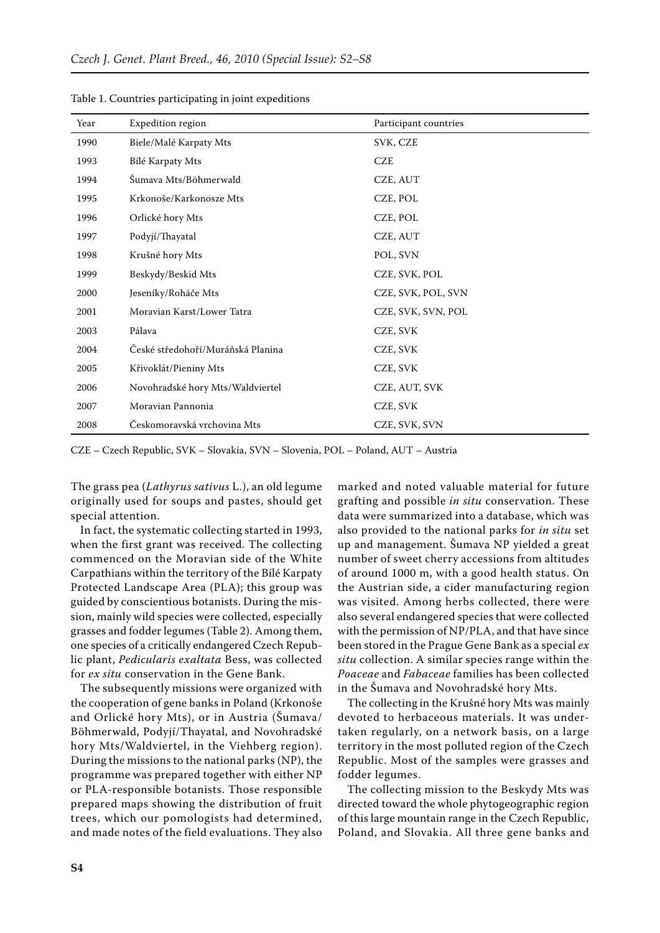| Year | Expedition region                 | Participant countries |
|------|-----------------------------------|-----------------------|
| 1990 | Biele/Malé Karpaty Mts            | SVK, CZE              |
| 1993 | Bílé Karpaty Mts                  | <b>CZE</b>            |
| 1994 | Šumava Mts/Böhmerwald             | CZE, AUT              |
| 1995 | Krkonoše/Karkonosze Mts           | CZE, POL              |
| 1996 | Orlické hory Mts                  | CZE, POL              |
| 1997 | Podyjí/Thayatal                   | CZE, AUT              |
| 1998 | Krušné hory Mts                   | POL, SVN              |
| 1999 | Beskydy/Beskid Mts                | CZE, SVK, POL         |
| 2000 | Jeseníky/Roháče Mts               | CZE, SVK, POL, SVN    |
| 2001 | Moravian Karst/Lower Tatra        | CZE, SVK, SVN, POL    |
| 2003 | Pálava                            | CZE, SVK              |
| 2004 | České středohoří/Muráňská Planina | CZE, SVK              |
| 2005 | Křivoklát/Pieniny Mts             | CZE, SVK              |
| 2006 | Novohradské hory Mts/Waldviertel  | CZE, AUT, SVK         |
| 2007 | Moravian Pannonia                 | CZE, SVK              |
| 2008 | Českomoravská vrchovina Mts       | CZE, SVK, SVN         |

Table 1. Countries participating in joint expeditions

CZE – Czech Republic, SVK – Slovakia, SVN – Slovenia, POL – Poland, AUT – Austria

The grass pea (*Lathyrus sativus* L.), an old legume originally used for soups and pastes, should get special attention.

In fact, the systematic collecting started in 1993, when the first grant was received. The collecting commenced on the Moravian side of the White Carpathians within the territory of the Bílé Karpaty Protected Landscape Area (PLA); this group was guided by conscientious botanists. During the mission, mainly wild species were collected, especially grasses and fodder legumes (Table 2). Among them, one species of a critically endangered Czech Republic plant, *Pedicularis exaltata* Bess, was collected for *ex situ* conservation in the Gene Bank.

The subsequently missions were organized with the cooperation of gene banks in Poland (Krkonoše and Orlické hory Mts), or in Austria (Šumava/ Böhmerwald, Podyjí/Thayatal, and Novohradské hory Mts/Waldviertel, in the Viehberg region). During the missions to the national parks (NP), the programme was prepared together with either NP or PLA-responsible botanists. Those responsible prepared maps showing the distribution of fruit trees, which our pomologists had determined, and made notes of the field evaluations. They also marked and noted valuable material for future grafting and possible *in situ* conservation. These data were summarized into a database, which was also provided to the national parks for *in situ* set up and management. Šumava NP yielded a great number of sweet cherry accessions from altitudes of around 1000 m, with a good health status. On the Austrian side, a cider manufacturing region was visited. Among herbs collected, there were also several endangered species that were collected with the permission of NP/PLA, and that have since been stored in the Prague Gene Bank as a special *ex situ* collection. A similar species range within the *Poaceae* and *Fabaceae* families has been collected in the Šumava and Novohradské hory Mts.

The collecting in the Krušné hory Mts was mainly devoted to herbaceous materials. It was undertaken regularly, on a network basis, on a large territory in the most polluted region of the Czech Republic. Most of the samples were grasses and fodder legumes.

The collecting mission to the Beskydy Mts was directed toward the whole phytogeographic region of this large mountain range in the Czech Republic, Poland, and Slovakia. All three gene banks and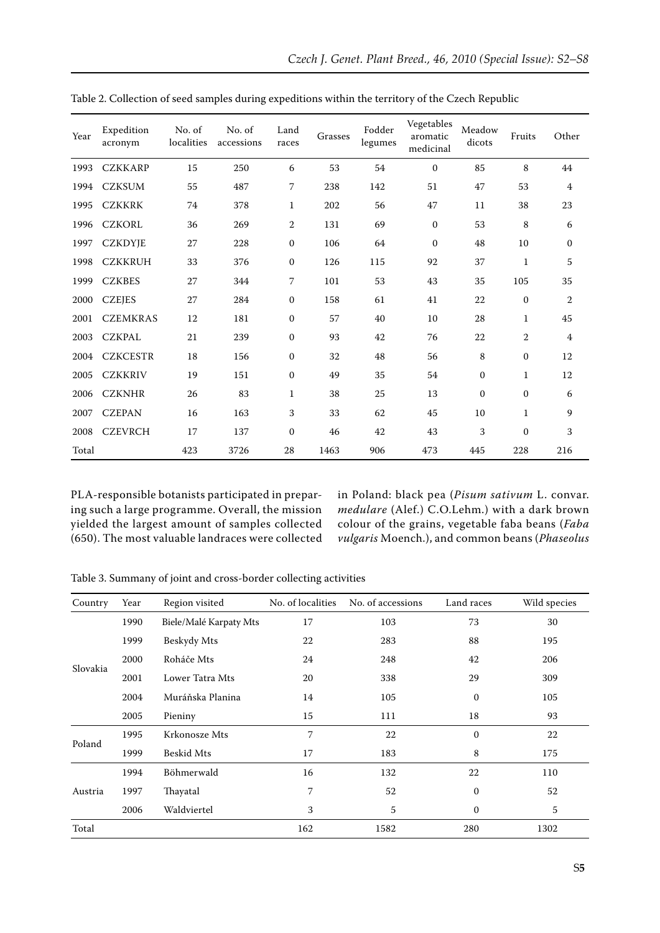| Year  | Expedition<br>acronym | No. of<br>localities | No. of<br>accessions | Land<br>races | Grasses | Fodder<br>legumes | Vegetables<br>aromatic<br>medicinal | Meadow<br>dicots | Fruits       | Other          |
|-------|-----------------------|----------------------|----------------------|---------------|---------|-------------------|-------------------------------------|------------------|--------------|----------------|
| 1993  | <b>CZKKARP</b>        | 15                   | 250                  | 6             | 53      | 54                | $\mathbf{0}$                        | 85               | 8            | 44             |
| 1994  | <b>CZKSUM</b>         | 55                   | 487                  | 7             | 238     | 142               | 51                                  | 47               | 53           | $\overline{4}$ |
| 1995  | <b>CZKKRK</b>         | 74                   | 378                  | $\mathbf{1}$  | 202     | 56                | 47                                  | 11               | 38           | 23             |
| 1996  | <b>CZKORL</b>         | 36                   | 269                  | $\,2$         | 131     | 69                | $\boldsymbol{0}$                    | 53               | 8            | 6              |
| 1997  | <b>CZKDYJE</b>        | 27                   | 228                  | $\mathbf{0}$  | 106     | 64                | $\boldsymbol{0}$                    | 48               | 10           | $\mathbf{0}$   |
| 1998  | <b>CZKKRUH</b>        | 33                   | 376                  | $\mathbf{0}$  | 126     | 115               | 92                                  | 37               | $\mathbf{1}$ | 5              |
| 1999  | <b>CZKBES</b>         | 27                   | 344                  | 7             | 101     | 53                | 43                                  | 35               | 105          | 35             |
| 2000  | <b>CZEJES</b>         | 27                   | 284                  | $\mathbf{0}$  | 158     | 61                | 41                                  | 22               | $\mathbf{0}$ | $\overline{2}$ |
| 2001  | <b>CZEMKRAS</b>       | 12                   | 181                  | $\mathbf{0}$  | 57      | 40                | 10                                  | 28               | 1            | 45             |
| 2003  | <b>CZKPAL</b>         | 21                   | 239                  | $\mathbf{0}$  | 93      | 42                | 76                                  | 22               | 2            | $\overline{4}$ |
| 2004  | <b>CZKCESTR</b>       | 18                   | 156                  | $\mathbf{0}$  | 32      | 48                | 56                                  | 8                | $\mathbf{0}$ | 12             |
| 2005  | <b>CZKKRIV</b>        | 19                   | 151                  | $\mathbf{0}$  | 49      | 35                | 54                                  | $\mathbf{0}$     | $\mathbf{1}$ | 12             |
| 2006  | <b>CZKNHR</b>         | 26                   | 83                   | $\mathbf{1}$  | 38      | 25                | 13                                  | $\mathbf{0}$     | $\mathbf{0}$ | 6              |
| 2007  | <b>CZEPAN</b>         | 16                   | 163                  | 3             | 33      | 62                | 45                                  | 10               | $\mathbf{1}$ | 9              |
| 2008  | <b>CZEVRCH</b>        | 17                   | 137                  | $\mathbf{0}$  | 46      | 42                | 43                                  | 3                | $\mathbf{0}$ | 3              |
| Total |                       | 423                  | 3726                 | 28            | 1463    | 906               | 473                                 | 445              | 228          | 216            |

Table 2. Collection of seed samples during expeditions within the territory of the Czech Republic

PLA-responsible botanists participated in preparing such a large programme. Overall, the mission yielded the largest amount of samples collected (650). The most valuable landraces were collected in Poland: black pea (*Pisum sativum* L. convar. *medulare* (Alef.) C.O.Lehm.) with a dark brown colour of the grains, vegetable faba beans (*Faba vulgaris* Moench.), and common beans (*Phaseolus* 

Table 3. Summany of joint and cross-border collecting activities

| Country  | Year | Region visited         | No. of localities | No. of accessions | Land races       | Wild species |
|----------|------|------------------------|-------------------|-------------------|------------------|--------------|
| Slovakia | 1990 | Biele/Malé Karpaty Mts | 17                | 103               | 73               | 30           |
|          | 1999 | Beskydy Mts            | 22                | 283               | 88               | 195          |
|          | 2000 | Roháče Mts             | 24                | 248               | 42               | 206          |
|          | 2001 | Lower Tatra Mts        | 20                | 338               | 29               | 309          |
|          | 2004 | Muráňska Planina       | 14                | 105               | $\mathbf 0$      | 105          |
|          | 2005 | Pieniny                | 15                | 111               | 18               | 93           |
| Poland   | 1995 | Krkonosze Mts          | 7                 | 22                | $\boldsymbol{0}$ | 22           |
|          | 1999 | <b>Beskid Mts</b>      | 17                | 183               | 8                | 175          |
| Austria  | 1994 | Böhmerwald             | 16                | 132               | 22               | 110          |
|          | 1997 | Thayatal               | 7                 | 52                | $\mathbf{0}$     | 52           |
|          | 2006 | Waldviertel            | 3                 | 5                 | $\mathbf{0}$     | 5            |
| Total    |      |                        | 162               | 1582              | 280              | 1302         |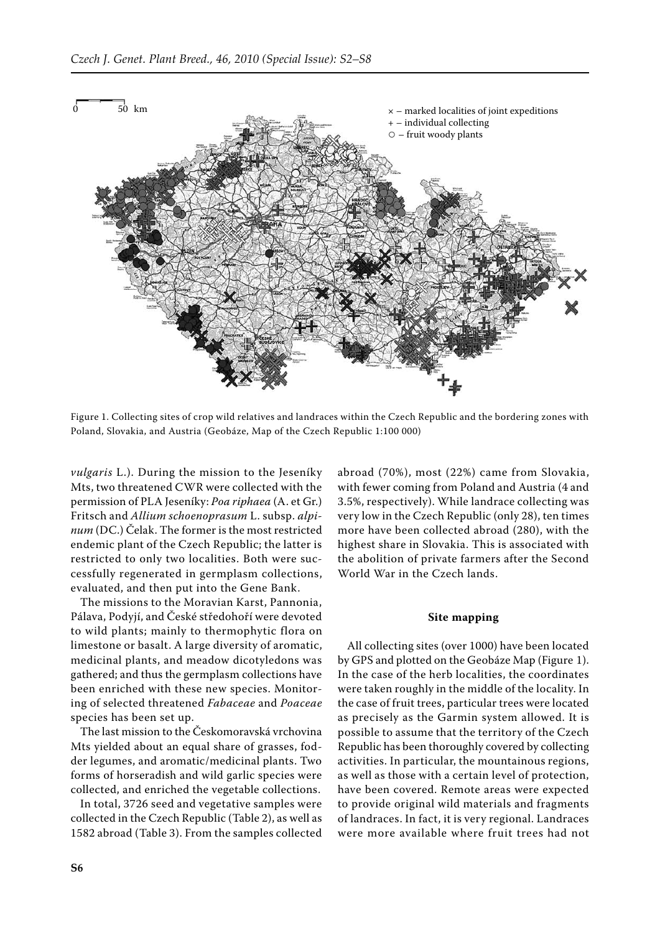

Figure 1. Collecting sites of crop wild relatives and landraces within the Czech Republic and the bordering zones with Poland, Slovakia, and Austria (Geobáze, Map of the Czech Republic 1:100 000)

*vulgaris* L.). During the mission to the Jeseníky Mts, two threatened CWR were collected with the permission of PLA Jeseníky: *Poa riphaea* (A. et Gr.) Fritsch and *Allium schoenoprasum* L. subsp. *alpinum* (DC.) Čelak. The former is the most restricted endemic plant of the Czech Republic; the latter is restricted to only two localities. Both were successfully regenerated in germplasm collections, evaluated, and then put into the Gene Bank.

The missions to the Moravian Karst, Pannonia, Pálava, Podyjí, and České středohoří were devoted to wild plants; mainly to thermophytic flora on limestone or basalt. A large diversity of aromatic, medicinal plants, and meadow dicotyledons was gathered; and thus the germplasm collections have been enriched with these new species. Monitoring of selected threatened *Fabaceae* and *Poaceae* species has been set up.

The last mission to the Českomoravská vrchovina Mts yielded about an equal share of grasses, fodder legumes, and aromatic/medicinal plants. Two forms of horseradish and wild garlic species were collected, and enriched the vegetable collections.

In total, 3726 seed and vegetative samples were collected in the Czech Republic (Table 2), as well as 1582 abroad (Table 3). From the samples collected

abroad (70%), most (22%) came from Slovakia, with fewer coming from Poland and Austria (4 and 3.5%, respectively). While landrace collecting was very low in the Czech Republic (only 28), ten times more have been collected abroad (280), with the highest share in Slovakia. This is associated with the abolition of private farmers after the Second World War in the Czech lands.

#### **Site mapping**

All collecting sites (over 1000) have been located by GPS and plotted on the Geobáze Map (Figure 1). In the case of the herb localities, the coordinates were taken roughly in the middle of the locality. In the case of fruit trees, particular trees were located as precisely as the Garmin system allowed. It is possible to assume that the territory of the Czech Republic has been thoroughly covered by collecting activities. In particular, the mountainous regions, as well as those with a certain level of protection, have been covered. Remote areas were expected to provide original wild materials and fragments of landraces. In fact, it is very regional. Landraces were more available where fruit trees had not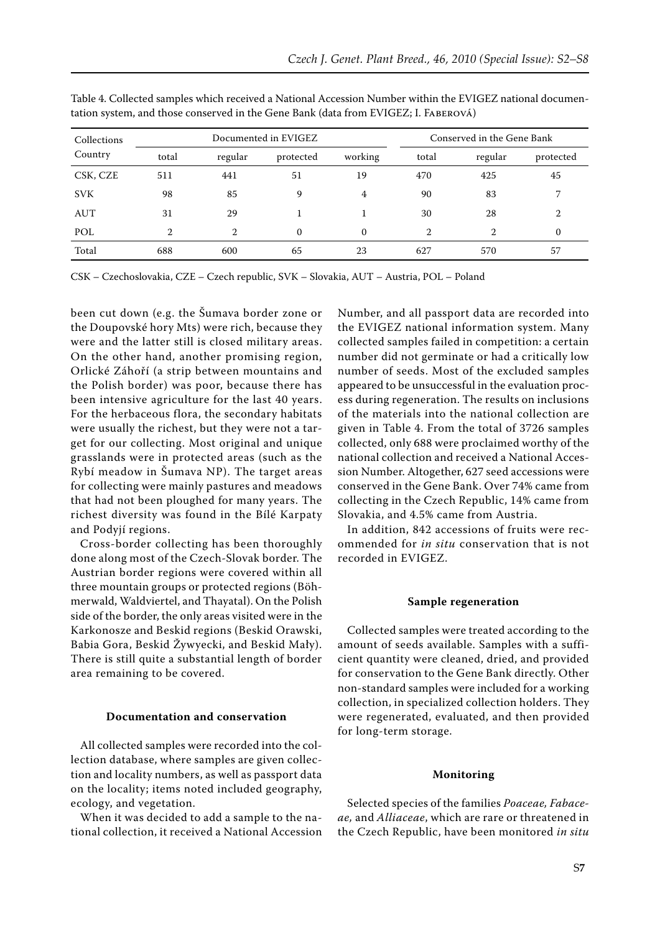| Collections |       |                | Documented in EVIGEZ |          | Conserved in the Gene Bank |                |           |
|-------------|-------|----------------|----------------------|----------|----------------------------|----------------|-----------|
| Country     | total | regular        | protected            | working  | total                      | regular        | protected |
| CSK, CZE    | 511   | 441            | 51                   | 19       | 470                        | 425            | 45        |
| <b>SVK</b>  | 98    | 85             | 9                    | 4        | 90                         | 83             | 7         |
| AUT         | 31    | 29             |                      |          | 30                         | 28             | 2         |
| POL         | 2     | $\mathfrak{D}$ | $\Omega$             | $\Omega$ | $\mathcal{D}$              | $\mathfrak{D}$ | $\Omega$  |
| Total       | 688   | 600            | 65                   | 23       | 627                        | 570            | 57        |

Table 4. Collected samples which received a National Accession Number within the EVIGEZ national documentation system, and those conserved in the Gene Bank (data from EVIGEZ; I. Faberová)

CSK – Czechoslovakia, CZE – Czech republic, SVK – Slovakia, AUT – Austria, POL – Poland

been cut down (e.g. the Šumava border zone or the Doupovské hory Mts) were rich, because they were and the latter still is closed military areas. On the other hand, another promising region, Orlické Záhoří (a strip between mountains and the Polish border) was poor, because there has been intensive agriculture for the last 40 years. For the herbaceous flora, the secondary habitats were usually the richest, but they were not a target for our collecting. Most original and unique grasslands were in protected areas (such as the Rybí meadow in Šumava NP). The target areas for collecting were mainly pastures and meadows that had not been ploughed for many years. The richest diversity was found in the Bílé Karpaty and Podyjí regions.

Cross-border collecting has been thoroughly done along most of the Czech-Slovak border. The Austrian border regions were covered within all three mountain groups or protected regions (Böhmerwald, Waldviertel, and Thayatal). On the Polish side of the border, the only areas visited were in the Karkonosze and Beskid regions (Beskid Orawski, Babia Gora, Beskid Žywyecki, and Beskid Mały). There is still quite a substantial length of border area remaining to be covered.

#### **Documentation and conservation**

All collected samples were recorded into the collection database, where samples are given collection and locality numbers, as well as passport data on the locality; items noted included geography, ecology, and vegetation.

When it was decided to add a sample to the national collection, it received a National Accession Number, and all passport data are recorded into the EVIGEZ national information system. Many collected samples failed in competition: a certain number did not germinate or had a critically low number of seeds. Most of the excluded samples appeared to be unsuccessful in the evaluation process during regeneration. The results on inclusions of the materials into the national collection are given in Table 4. From the total of 3726 samples collected, only 688 were proclaimed worthy of the national collection and received a National Accession Number. Altogether, 627 seed accessions were conserved in the Gene Bank. Over 74% came from collecting in the Czech Republic, 14% came from Slovakia, and 4.5% came from Austria.

In addition, 842 accessions of fruits were recommended for *in situ* conservation that is not recorded in EVIGEZ.

### **Sample regeneration**

Collected samples were treated according to the amount of seeds available. Samples with a sufficient quantity were cleaned, dried, and provided for conservation to the Gene Bank directly. Other non-standard samples were included for a working collection, in specialized collection holders. They were regenerated, evaluated, and then provided for long-term storage.

#### **Monitoring**

Selected species of the families *Poaceae, Fabaceae,* and *Alliaceae*, which are rare or threatened in the Czech Republic, have been monitored *in situ*